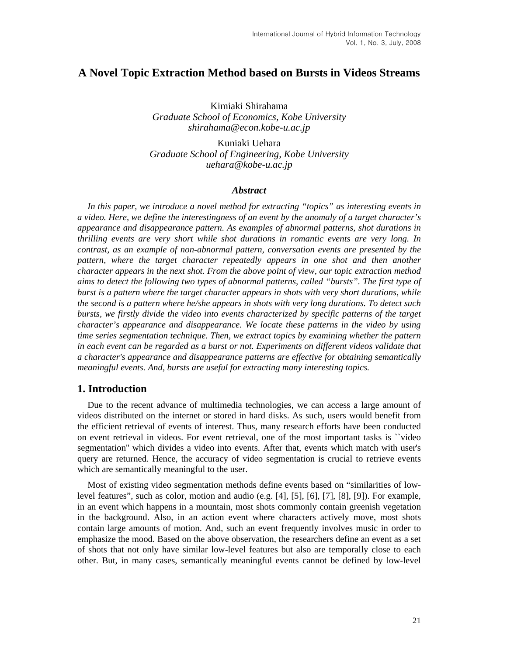# **A Novel Topic Extraction Method based on Bursts in Videos Streams**

Kimiaki Shirahama *Graduate School of Economics, Kobe University shirahama@econ.kobe-u.ac.jp* 

Kuniaki Uehara *Graduate School of Engineering, Kobe University uehara@kobe-u.ac.jp*

#### *Abstract*

In this paper, we introduce a novel method for extracting "topics" as interesting events in *a video. Here, we define the interestingness of an event by the anomaly of a target character's appearance and disappearance pattern. As examples of abnormal patterns, shot durations in thrilling events are very short while shot durations in romantic events are very long. In contrast, as an example of non-abnormal pattern, conversation events are presented by the pattern, where the target character repeatedly appears in one shot and then another character appears in the next shot. From the above point of view, our topic extraction method aims to detect the following two types of abnormal patterns, called "bursts". The first type of burst is a pattern where the target character appears in shots with very short durations, while the second is a pattern where he/she appears in shots with very long durations. To detect such bursts, we firstly divide the video into events characterized by specific patterns of the target character's appearance and disappearance. We locate these patterns in the video by using time series segmentation technique. Then, we extract topics by examining whether the pattern in each event can be regarded as a burst or not. Experiments on different videos validate that a character's appearance and disappearance patterns are effective for obtaining semantically meaningful events. And, bursts are useful for extracting many interesting topics.* 

### **1. Introduction**

Due to the recent advance of multimedia technologies, we can access a large amount of videos distributed on the internet or stored in hard disks. As such, users would benefit from the efficient retrieval of events of interest. Thus, many research efforts have been conducted on event retrieval in videos. For event retrieval, one of the most important tasks is ``video segmentation'' which divides a video into events. After that, events which match with user's query are returned. Hence, the accuracy of video segmentation is crucial to retrieve events which are semantically meaningful to the user.

Most of existing video segmentation methods define events based on "similarities of lowlevel features", such as color, motion and audio (e.g. [4], [5], [6], [7], [8], [9]). For example, in an event which happens in a mountain, most shots commonly contain greenish vegetation in the background. Also, in an action event where characters actively move, most shots contain large amounts of motion. And, such an event frequently involves music in order to emphasize the mood. Based on the above observation, the researchers define an event as a set of shots that not only have similar low-level features but also are temporally close to each other. But, in many cases, semantically meaningful events cannot be defined by low-level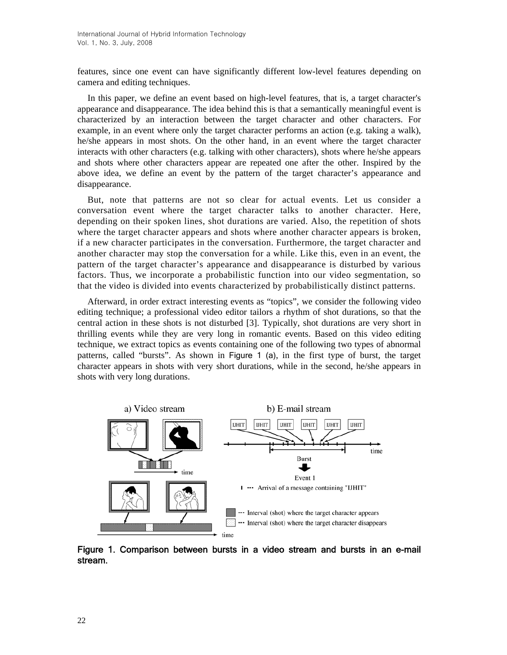features, since one event can have significantly different low-level features depending on camera and editing techniques.

In this paper, we define an event based on high-level features, that is, a target character's appearance and disappearance. The idea behind this is that a semantically meaningful event is characterized by an interaction between the target character and other characters. For example, in an event where only the target character performs an action (e.g. taking a walk), he/she appears in most shots. On the other hand, in an event where the target character interacts with other characters (e.g. talking with other characters), shots where he/she appears and shots where other characters appear are repeated one after the other. Inspired by the above idea, we define an event by the pattern of the target character's appearance and disappearance.

But, note that patterns are not so clear for actual events. Let us consider a conversation event where the target character talks to another character. Here, depending on their spoken lines, shot durations are varied. Also, the repetition of shots where the target character appears and shots where another character appears is broken, if a new character participates in the conversation. Furthermore, the target character and another character may stop the conversation for a while. Like this, even in an event, the pattern of the target character's appearance and disappearance is disturbed by various factors. Thus, we incorporate a probabilistic function into our video segmentation, so that the video is divided into events characterized by probabilistically distinct patterns.

Afterward, in order extract interesting events as "topics", we consider the following video editing technique; a professional video editor tailors a rhythm of shot durations, so that the central action in these shots is not disturbed [3]. Typically, shot durations are very short in thrilling events while they are very long in romantic events. Based on this video editing technique, we extract topics as events containing one of the following two types of abnormal patterns, called "bursts". As shown in Figure 1 (a), in the first type of burst, the target character appears in shots with very short durations, while in the second, he/she appears in shots with very long durations.



Figure 1. Comparison between bursts in a video stream and bursts in an e-mail stream.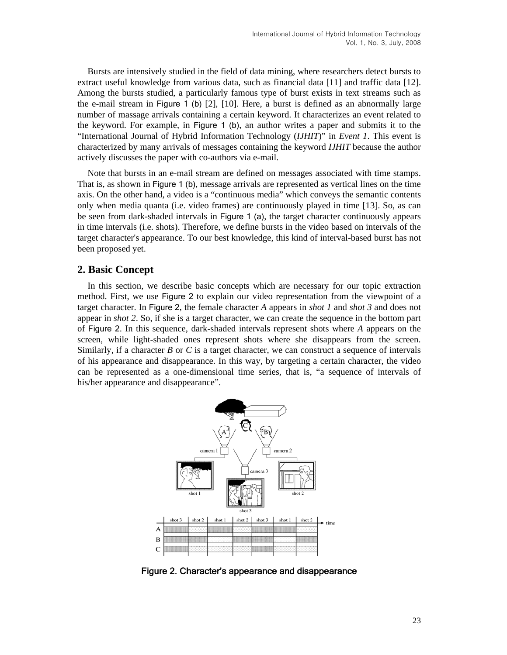Bursts are intensively studied in the field of data mining, where researchers detect bursts to extract useful knowledge from various data, such as financial data [11] and traffic data [12]. Among the bursts studied, a particularly famous type of burst exists in text streams such as the e-mail stream in Figure 1 (b) [2], [10]. Here, a burst is defined as an abnormally large number of massage arrivals containing a certain keyword. It characterizes an event related to the keyword. For example, in Figure 1 (b), an author writes a paper and submits it to the "International Journal of Hybrid Information Technology (*IJHIT*)" in *Event 1*. This event is characterized by many arrivals of messages containing the keyword *IJHIT* because the author actively discusses the paper with co-authors via e-mail.

Note that bursts in an e-mail stream are defined on messages associated with time stamps. That is, as shown in Figure 1 (b), message arrivals are represented as vertical lines on the time axis. On the other hand, a video is a "continuous media" which conveys the semantic contents only when media quanta (i.e. video frames) are continuously played in time [13]. So, as can be seen from dark-shaded intervals in Figure 1 (a), the target character continuously appears in time intervals (i.e. shots). Therefore, we define bursts in the video based on intervals of the target character's appearance. To our best knowledge, this kind of interval-based burst has not been proposed yet.

## **2. Basic Concept**

In this section, we describe basic concepts which are necessary for our topic extraction method. First, we use Figure 2 to explain our video representation from the viewpoint of a target character. In Figure 2, the female character *A* appears in *shot 1* and *shot 3* and does not appear in *shot 2*. So, if she is a target character, we can create the sequence in the bottom part of Figure 2. In this sequence, dark-shaded intervals represent shots where *A* appears on the screen, while light-shaded ones represent shots where she disappears from the screen. Similarly, if a character  $B$  or  $C$  is a target character, we can construct a sequence of intervals of his appearance and disappearance. In this way, by targeting a certain character, the video can be represented as a one-dimensional time series, that is, "a sequence of intervals of his/her appearance and disappearance".



Figure 2. Character's appearance and disappearance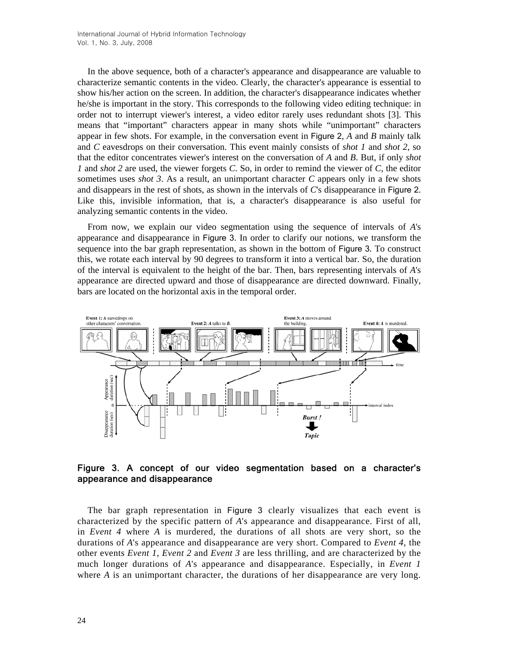In the above sequence, both of a character's appearance and disappearance are valuable to characterize semantic contents in the video. Clearly, the character's appearance is essential to show his/her action on the screen. In addition, the character's disappearance indicates whether he/she is important in the story. This corresponds to the following video editing technique: in order not to interrupt viewer's interest, a video editor rarely uses redundant shots [3]. This means that "important" characters appear in many shots while "unimportant" characters appear in few shots. For example, in the conversation event in Figure 2, *A* and *B* mainly talk and *C* eavesdrops on their conversation. This event mainly consists of *shot 1* and *shot 2*, so that the editor concentrates viewer's interest on the conversation of *A* and *B*. But, if only *shot 1* and *shot 2* are used, the viewer forgets *C*. So, in order to remind the viewer of *C*, the editor sometimes uses *shot 3*. As a result, an unimportant character *C* appears only in a few shots and disappears in the rest of shots, as shown in the intervals of *C*'s disappearance in Figure 2. Like this, invisible information, that is, a character's disappearance is also useful for analyzing semantic contents in the video.

From now, we explain our video segmentation using the sequence of intervals of *A*'s appearance and disappearance in Figure 3. In order to clarify our notions, we transform the sequence into the bar graph representation, as shown in the bottom of Figure 3. To construct this, we rotate each interval by 90 degrees to transform it into a vertical bar. So, the duration of the interval is equivalent to the height of the bar. Then, bars representing intervals of *A*'s appearance are directed upward and those of disappearance are directed downward. Finally, bars are located on the horizontal axis in the temporal order.



## Figure 3. A concept of our video segmentation based on a character's appearance and disappearance

The bar graph representation in Figure 3 clearly visualizes that each event is characterized by the specific pattern of *A*'s appearance and disappearance. First of all, in *Event 4* where *A* is murdered, the durations of all shots are very short, so the durations of *A*'s appearance and disappearance are very short. Compared to *Event 4*, the other events *Event 1*, *Event 2* and *Event 3* are less thrilling, and are characterized by the much longer durations of *A*'s appearance and disappearance. Especially, in *Event 1* where *A* is an unimportant character, the durations of her disappearance are very long.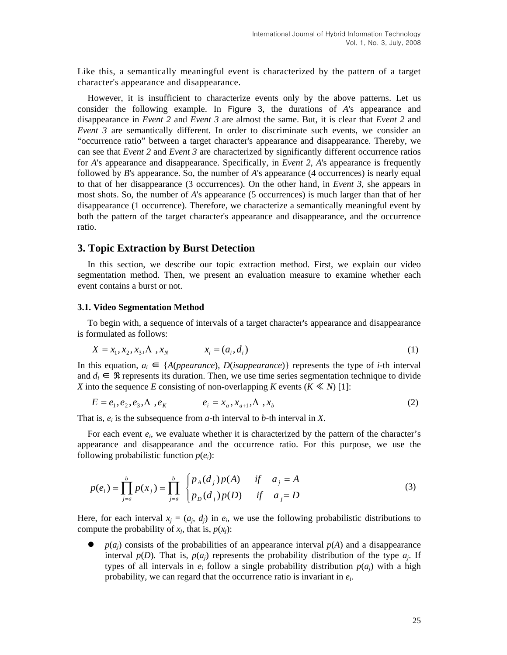Like this, a semantically meaningful event is characterized by the pattern of a target character's appearance and disappearance.

However, it is insufficient to characterize events only by the above patterns. Let us consider the following example. In Figure 3, the durations of *A*'s appearance and disappearance in *Event 2* and *Event 3* are almost the same. But, it is clear that *Event 2* and *Event 3* are semantically different. In order to discriminate such events, we consider an "occurrence ratio" between a target character's appearance and disappearance. Thereby, we can see that *Event 2* and *Event 3* are characterized by significantly different occurrence ratios for *A*'s appearance and disappearance. Specifically, in *Event 2*, *A*'s appearance is frequently followed by *B*'s appearance. So, the number of *A*'s appearance (4 occurrences) is nearly equal to that of her disappearance (3 occurrences). On the other hand, in *Event 3*, she appears in most shots. So, the number of *A*'s appearance (5 occurrences) is much larger than that of her disappearance (1 occurrence). Therefore, we characterize a semantically meaningful event by both the pattern of the target character's appearance and disappearance, and the occurrence ratio.

#### **3. Topic Extraction by Burst Detection**

In this section, we describe our topic extraction method. First, we explain our video segmentation method. Then, we present an evaluation measure to examine whether each event contains a burst or not.

#### **3.1. Video Segmentation Method**

To begin with, a sequence of intervals of a target character's appearance and disappearance is formulated as follows:

$$
X = x_1, x_2, x_3, \Lambda, x_N \qquad x_i = (a_i, d_i)
$$
 (1)

In this equation,  $a_i$  ∈ {*A*(*ppearance*), *D*(*isappearance*)} represents the type of *i*-th interval and  $d_i \in \mathbb{R}$  represents its duration. Then, we use time series segmentation technique to divide *X* into the sequence *E* consisting of non-overlapping *K* events ( $K \ll N$ ) [1]:

$$
E = e_1, e_2, e_3, \Lambda, e_K \qquad \qquad e_i = x_a, x_{a+1}, \Lambda, x_b \tag{2}
$$

That is,  $e_i$  is the subsequence from  $a$ -th interval to  $b$ -th interval in  $X$ .

For each event  $e_i$ , we evaluate whether it is characterized by the pattern of the character's appearance and disappearance and the occurrence ratio. For this purpose, we use the following probabilistic function  $p(e_i)$ :

$$
p(e_i) = \prod_{j=a}^{b} p(x_j) = \prod_{j=a}^{b} \begin{cases} p_A(d_j) p(A) & \text{if } a_j = A \\ p_D(d_j) p(D) & \text{if } a_j = D \end{cases}
$$
 (3)

Here, for each interval  $x_i = (a_i, d_i)$  in  $e_i$ , we use the following probabilistic distributions to compute the probability of  $x_i$ , that is,  $p(x_i)$ :

 $p(a_i)$  consists of the probabilities of an appearance interval  $p(A)$  and a disappearance interval  $p(D)$ . That is,  $p(a_i)$  represents the probability distribution of the type  $a_i$ . If types of all intervals in  $e_i$  follow a single probability distribution  $p(a_i)$  with a high probability, we can regard that the occurrence ratio is invariant in *ei*.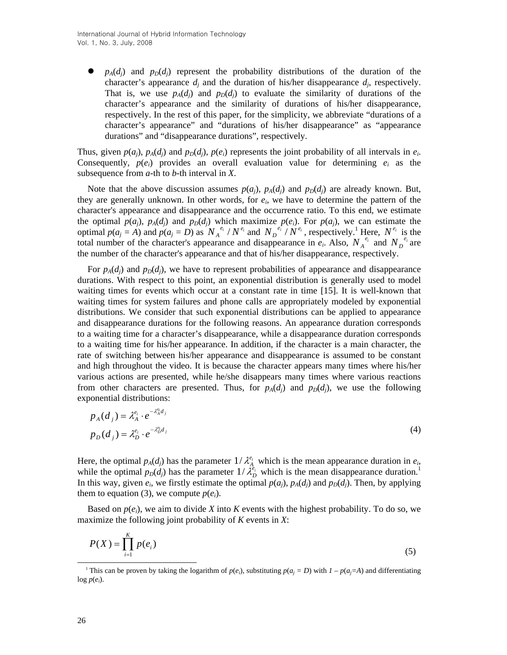$p_A(d_i)$  and  $p_D(d_i)$  represent the probability distributions of the duration of the character's appearance  $d_i$  and the duration of his/her disappearance  $d_i$ , respectively. That is, we use  $p_A(d_i)$  and  $p_D(d_i)$  to evaluate the similarity of durations of the character's appearance and the similarity of durations of his/her disappearance, respectively. In the rest of this paper, for the simplicity, we abbreviate "durations of a character's appearance" and "durations of his/her disappearance" as "appearance durations" and "disappearance durations", respectively.

Thus, given  $p(a_i)$ ,  $p_A(d_i)$  and  $p_D(d_i)$ ,  $p(e_i)$  represents the joint probability of all intervals in  $e_i$ . Consequently,  $p(e_i)$  provides an overall evaluation value for determining  $e_i$  as the subsequence from *a*-th to *b*-th interval in *X*.

Note that the above discussion assumes  $p(a_j)$ ,  $p_A(d_j)$  and  $p_D(d_j)$  are already known. But, they are generally unknown. In other words, for  $e_i$ , we have to determine the pattern of the character's appearance and disappearance and the occurrence ratio. To this end, we estimate the optimal  $p(a_j)$ ,  $p_A(d_j)$  and  $p_D(d_j)$  which maximize  $p(e_i)$ . For  $p(a_j)$ , we can estimate the optimal  $p(a_j = A)$  and  $p(a_j = D)$  as  $N_A^{e_i} / N^{e_i}$  and  $N_D^{e_i} / N^{e_i}$ , respectively.<sup>1</sup> Here,  $N^{e_i}$  is the total number of the character's appearance and disappearance in  $e_i$ . Also,  $N_A^{e_i}$  and  $N_D^{e_i}$  are the number of the character's appearance and that of his/her disappearance, respectively.

For  $p_A(d_i)$  and  $p_D(d_i)$ , we have to represent probabilities of appearance and disappearance durations. With respect to this point, an exponential distribution is generally used to model waiting times for events which occur at a constant rate in time [15]. It is well-known that waiting times for system failures and phone calls are appropriately modeled by exponential distributions. We consider that such exponential distributions can be applied to appearance and disappearance durations for the following reasons. An appearance duration corresponds to a waiting time for a character's disappearance, while a disappearance duration corresponds to a waiting time for his/her appearance. In addition, if the character is a main character, the rate of switching between his/her appearance and disappearance is assumed to be constant and high throughout the video. It is because the character appears many times where his/her various actions are presented, while he/she disappears many times where various reactions from other characters are presented. Thus, for  $p_A(d_i)$  and  $p_D(d_i)$ , we use the following exponential distributions:

$$
p_A(d_j) = \lambda_A^{e_i} \cdot e^{-\lambda_A^{e_i} d_j}
$$
  
\n
$$
p_D(d_j) = \lambda_D^{e_i} \cdot e^{-\lambda_D^{e_i} d_j}
$$
\n(4)

Here, the optimal  $p_A(d_j)$  has the parameter  $1/\lambda_A^{e_i}$  which is the mean appearance duration in  $e_i$ , while the optimal  $p_D(d_j)$  has the parameter  $1/\lambda_D^{e_i}$  which is the mean disappearance duration.<sup>1</sup> In this way, given  $e_i$ , we firstly estimate the optimal  $p(a_i)$ ,  $p_A(d_i)$  and  $p_D(d_i)$ . Then, by applying them to equation (3), we compute  $p(e_i)$ .

Based on  $p(e_i)$ , we aim to divide *X* into *K* events with the highest probability. To do so, we maximize the following joint probability of *K* events in *X*:

$$
P(X) = \prod_{i=1}^{K} p(e_i)
$$
\n<sup>(5)</sup>

<sup>&</sup>lt;sup>1</sup> This can be proven by taking the logarithm of  $p(e_i)$ , substituting  $p(a_i = D)$  with  $I - p(a_i = A)$  and differentiating  $log p(e_i)$ .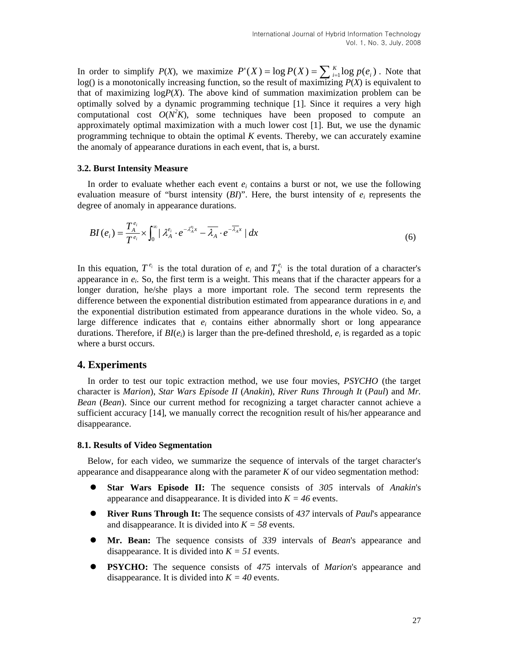In order to simplify  $P(X)$ , we maximize  $P'(X) = \log P(X) = \sum_{i=1}^{K} \log p(e_i)$ . Note that log() is a monotonically increasing function, so the result of maximizing *P*(*X*) is equivalent to that of maximizing  $logP(X)$ . The above kind of summation maximization problem can be optimally solved by a dynamic programming technique [1]. Since it requires a very high computational cost  $O(N^2 K)$ , some techniques have been proposed to compute an approximately optimal maximization with a much lower cost [1]. But, we use the dynamic programming technique to obtain the optimal *K* events. Thereby, we can accurately examine the anomaly of appearance durations in each event, that is, a burst.

#### **3.2. Burst Intensity Measure**

In order to evaluate whether each event  $e_i$  contains a burst or not, we use the following evaluation measure of "burst intensity  $(BI)$ ". Here, the burst intensity of  $e_i$  represents the degree of anomaly in appearance durations.

$$
BI(e_i) = \frac{T_A^{e_i}}{T^{e_i}} \times \int_0^\infty |\lambda_A^{e_i} \cdot e^{-\lambda_A^{e_i} x} - \overline{\lambda_A} \cdot e^{-\overline{\lambda_A} x}| \, dx \tag{6}
$$

In this equation,  $T^{e_i}$  is the total duration of  $e_i$  and  $T_A^{e_i}$  is the total duration of a character's appearance in  $e_i$ . So, the first term is a weight. This means that if the character appears for a longer duration, he/she plays a more important role. The second term represents the difference between the exponential distribution estimated from appearance durations in  $e_i$  and the exponential distribution estimated from appearance durations in the whole video. So, a large difference indicates that  $e_i$  contains either abnormally short or long appearance durations. Therefore, if  $BI(e_i)$  is larger than the pre-defined threshold,  $e_i$  is regarded as a topic where a burst occurs.

### **4. Experiments**

In order to test our topic extraction method, we use four movies, *PSYCHO* (the target character is *Marion*), *Star Wars Episode II* (*Anakin*), *River Runs Through It* (*Paul*) and *Mr. Bean* (*Bean*). Since our current method for recognizing a target character cannot achieve a sufficient accuracy [14], we manually correct the recognition result of his/her appearance and disappearance.

#### **8.1. Results of Video Segmentation**

Below, for each video, we summarize the sequence of intervals of the target character's appearance and disappearance along with the parameter *K* of our video segmentation method:

- **Star Wars Episode II:** The sequence consists of 305 intervals of *Anakin*'s appearance and disappearance. It is divided into  $K = 46$  events.
- **River Runs Through It:** The sequence consists of 437 intervals of *Paul*'s appearance and disappearance. It is divided into  $K = 58$  events.
- z **Mr. Bean:** The sequence consists of *339* intervals of *Bean*'s appearance and disappearance. It is divided into  $K = 51$  events.
- **• PSYCHO:** The sequence consists of 475 intervals of *Marion*'s appearance and disappearance. It is divided into  $K = 40$  events.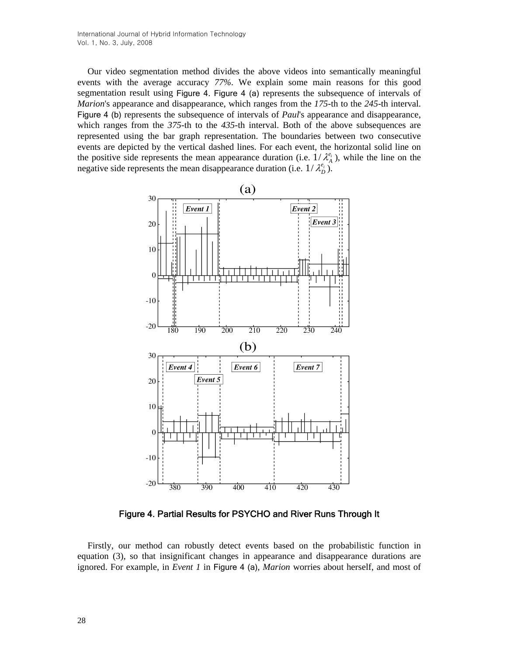Our video segmentation method divides the above videos into semantically meaningful events with the average accuracy *77%*. We explain some main reasons for this good segmentation result using Figure 4. Figure 4 (a) represents the subsequence of intervals of *Marion*'s appearance and disappearance, which ranges from the *175*-th to the *245*-th interval. Figure 4 (b) represents the subsequence of intervals of *Paul*'s appearance and disappearance, which ranges from the *375*-th to the *435*-th interval. Both of the above subsequences are represented using the bar graph representation. The boundaries between two consecutive events are depicted by the vertical dashed lines. For each event, the horizontal solid line on the positive side represents the mean appearance duration (i.e.  $1/\lambda_A^{\ell_i}$ ), while the line on the negative side represents the mean disappearance duration (i.e.  $1/\lambda_D^{e_i}$ ).



Figure 4. Partial Results for PSYCHO and River Runs Through It

Firstly, our method can robustly detect events based on the probabilistic function in equation (3), so that insignificant changes in appearance and disappearance durations are ignored. For example, in *Event 1* in Figure 4 (a), *Marion* worries about herself, and most of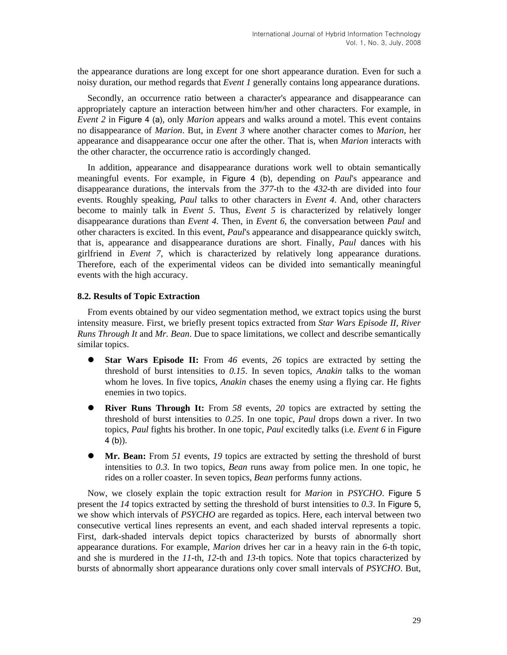the appearance durations are long except for one short appearance duration. Even for such a noisy duration, our method regards that *Event 1* generally contains long appearance durations.

Secondly, an occurrence ratio between a character's appearance and disappearance can appropriately capture an interaction between him/her and other characters. For example, in *Event 2* in Figure 4 (a), only *Marion* appears and walks around a motel. This event contains no disappearance of *Marion*. But, in *Event 3* where another character comes to *Marion*, her appearance and disappearance occur one after the other. That is, when *Marion* interacts with the other character, the occurrence ratio is accordingly changed.

In addition, appearance and disappearance durations work well to obtain semantically meaningful events. For example, in Figure 4 (b), depending on *Paul*'s appearance and disappearance durations, the intervals from the *377*-th to the *432*-th are divided into four events. Roughly speaking, *Paul* talks to other characters in *Event 4*. And, other characters become to mainly talk in *Event 5*. Thus, *Event 5* is characterized by relatively longer disappearance durations than *Event 4*. Then, in *Event 6*, the conversation between *Paul* and other characters is excited. In this event, *Paul*'s appearance and disappearance quickly switch, that is, appearance and disappearance durations are short. Finally, *Paul* dances with his girlfriend in *Event 7*, which is characterized by relatively long appearance durations. Therefore, each of the experimental videos can be divided into semantically meaningful events with the high accuracy.

#### **8.2. Results of Topic Extraction**

From events obtained by our video segmentation method, we extract topics using the burst intensity measure. First, we briefly present topics extracted from *Star Wars Episode II*, *River Runs Through It* and *Mr. Bean*. Due to space limitations, we collect and describe semantically similar topics.

- **Star Wars Episode II:** From 46 events, 26 topics are extracted by setting the threshold of burst intensities to *0.15*. In seven topics, *Anakin* talks to the woman whom he loves. In five topics, *Anakin* chases the enemy using a flying car. He fights enemies in two topics.
- **River Runs Through It:** From 58 events, 20 topics are extracted by setting the threshold of burst intensities to *0.25*. In one topic, *Paul* drops down a river. In two topics, *Paul* fights his brother. In one topic, *Paul* excitedly talks (i.e. *Event 6* in Figure 4 (b)).
- Mr. Bean: From 51 events, 19 topics are extracted by setting the threshold of burst intensities to *0.3*. In two topics, *Bean* runs away from police men. In one topic, he rides on a roller coaster. In seven topics, *Bean* performs funny actions.

Now, we closely explain the topic extraction result for *Marion* in *PSYCHO*. Figure 5 present the  $14$  topics extracted by setting the threshold of burst intensities to  $0.3$ . In Figure 5, we show which intervals of *PSYCHO* are regarded as topics. Here, each interval between two consecutive vertical lines represents an event, and each shaded interval represents a topic. First, dark-shaded intervals depict topics characterized by bursts of abnormally short appearance durations. For example, *Marion* drives her car in a heavy rain in the *6*-th topic, and she is murdered in the *11*-th, *12*-th and *13*-th topics. Note that topics characterized by bursts of abnormally short appearance durations only cover small intervals of *PSYCHO*. But,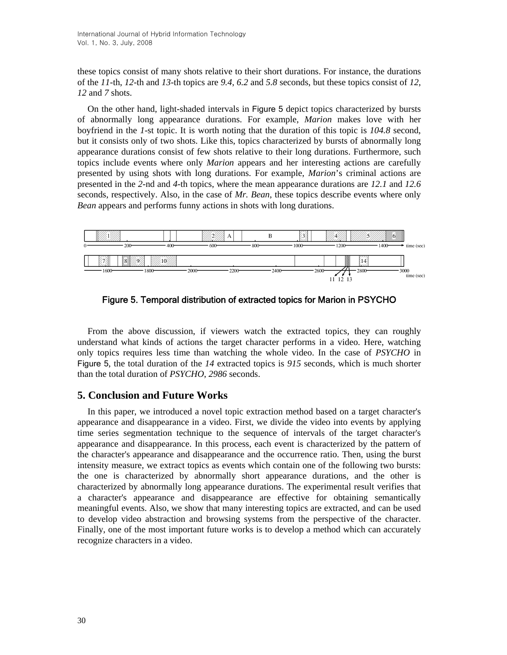these topics consist of many shots relative to their short durations. For instance, the durations of the *11*-th, *12*-th and *13*-th topics are *9.4*, *6.2* and *5.8* seconds, but these topics consist of *12*, *12* and *7* shots.

On the other hand, light-shaded intervals in Figure 5 depict topics characterized by bursts of abnormally long appearance durations. For example, *Marion* makes love with her boyfriend in the *1*-st topic. It is worth noting that the duration of this topic is *104.8* second, but it consists only of two shots. Like this, topics characterized by bursts of abnormally long appearance durations consist of few shots relative to their long durations. Furthermore, such topics include events where only *Marion* appears and her interesting actions are carefully presented by using shots with long durations. For example, *Marion*'s criminal actions are presented in the *2*-nd and *4*-th topics, where the mean appearance durations are *12.1* and *12.6* seconds, respectively. Also, in the case of *Mr. Bean*, these topics describe events where only *Bean* appears and performs funny actions in shots with long durations.



Figure 5. Temporal distribution of extracted topics for Marion in PSYCHO

From the above discussion, if viewers watch the extracted topics, they can roughly understand what kinds of actions the target character performs in a video. Here, watching only topics requires less time than watching the whole video. In the case of *PSYCHO* in Figure 5, the total duration of the *14* extracted topics is *915* seconds, which is much shorter than the total duration of *PSYCHO*, *2986* seconds.

## **5. Conclusion and Future Works**

In this paper, we introduced a novel topic extraction method based on a target character's appearance and disappearance in a video. First, we divide the video into events by applying time series segmentation technique to the sequence of intervals of the target character's appearance and disappearance. In this process, each event is characterized by the pattern of the character's appearance and disappearance and the occurrence ratio. Then, using the burst intensity measure, we extract topics as events which contain one of the following two bursts: the one is characterized by abnormally short appearance durations, and the other is characterized by abnormally long appearance durations. The experimental result verifies that a character's appearance and disappearance are effective for obtaining semantically meaningful events. Also, we show that many interesting topics are extracted, and can be used to develop video abstraction and browsing systems from the perspective of the character. Finally, one of the most important future works is to develop a method which can accurately recognize characters in a video.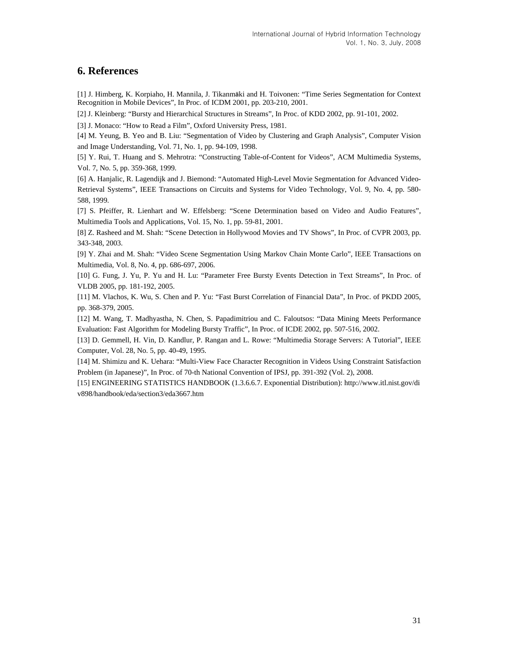## **6. References**

[1] J. Himberg, K. Korpiaho, H. Mannila, J. Tikanmäki and H. Toivonen: "Time Series Segmentation for Context Recognition in Mobile Devices", In Proc. of ICDM 2001, pp. 203-210, 2001.

[2] J. Kleinberg: "Bursty and Hierarchical Structures in Streams", In Proc. of KDD 2002, pp. 91-101, 2002.

[3] J. Monaco: "How to Read a Film", Oxford University Press, 1981.

[4] M. Yeung, B. Yeo and B. Liu: "Segmentation of Video by Clustering and Graph Analysis", Computer Vision and Image Understanding, Vol. 71, No. 1, pp. 94-109, 1998.

[5] Y. Rui, T. Huang and S. Mehrotra: "Constructing Table-of-Content for Videos", ACM Multimedia Systems, Vol. 7, No. 5, pp. 359-368, 1999.

[6] A. Hanjalic, R. Lagendijk and J. Biemond: "Automated High-Level Movie Segmentation for Advanced Video-Retrieval Systems", IEEE Transactions on Circuits and Systems for Video Technology, Vol. 9, No. 4, pp. 580- 588, 1999.

[7] S. Pfeiffer, R. Lienhart and W. Effelsberg: "Scene Determination based on Video and Audio Features", Multimedia Tools and Applications, Vol. 15, No. 1, pp. 59-81, 2001.

[8] Z. Rasheed and M. Shah: "Scene Detection in Hollywood Movies and TV Shows", In Proc. of CVPR 2003, pp. 343-348, 2003.

[9] Y. Zhai and M. Shah: "Video Scene Segmentation Using Markov Chain Monte Carlo", IEEE Transactions on Multimedia, Vol. 8, No. 4, pp. 686-697, 2006.

[10] G. Fung, J. Yu, P. Yu and H. Lu: "Parameter Free Bursty Events Detection in Text Streams", In Proc. of VLDB 2005, pp. 181-192, 2005.

[11] M. Vlachos, K. Wu, S. Chen and P. Yu: "Fast Burst Correlation of Financial Data", In Proc. of PKDD 2005, pp. 368-379, 2005.

[12] M. Wang, T. Madhyastha, N. Chen, S. Papadimitriou and C. Faloutsos: "Data Mining Meets Performance Evaluation: Fast Algorithm for Modeling Bursty Traffic", In Proc. of ICDE 2002, pp. 507-516, 2002.

[13] D. Gemmell, H. Vin, D. Kandlur, P. Rangan and L. Rowe: "Multimedia Storage Servers: A Tutorial", IEEE Computer, Vol. 28, No. 5, pp. 40-49, 1995.

[14] M. Shimizu and K. Uehara: "Multi-View Face Character Recognition in Videos Using Constraint Satisfaction Problem (in Japanese)", In Proc. of 70-th National Convention of IPSJ, pp. 391-392 (Vol. 2), 2008.

[15] ENGINEERING STATISTICS HANDBOOK (1.3.6.6.7. Exponential Distribution): http://www.itl.nist.gov/di v898/handbook/eda/section3/eda3667.htm